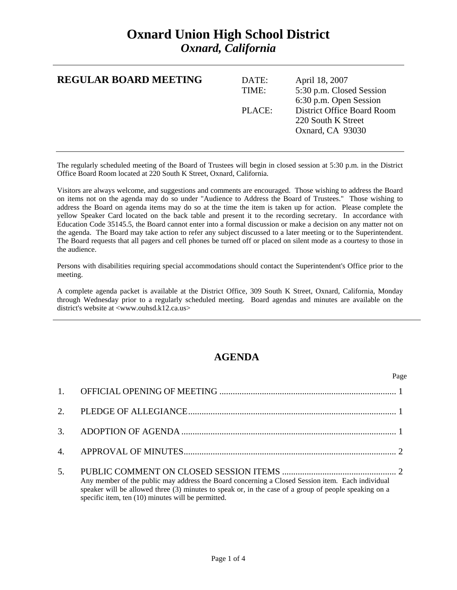## **Oxnard Union High School District**  *Oxnard, California*

| <b>REGULAR BOARD MEETING</b> | DATE:<br>TIME: | April 18, 2007<br>5:30 p.m. Closed Session<br>6:30 p.m. Open Session        |
|------------------------------|----------------|-----------------------------------------------------------------------------|
|                              | PLACE:         | <b>District Office Board Room</b><br>220 South K Street<br>Oxnard, CA 93030 |

The regularly scheduled meeting of the Board of Trustees will begin in closed session at 5:30 p.m. in the District Office Board Room located at 220 South K Street, Oxnard, California.

Visitors are always welcome, and suggestions and comments are encouraged. Those wishing to address the Board on items not on the agenda may do so under "Audience to Address the Board of Trustees." Those wishing to address the Board on agenda items may do so at the time the item is taken up for action. Please complete the yellow Speaker Card located on the back table and present it to the recording secretary. In accordance with Education Code 35145.5, the Board cannot enter into a formal discussion or make a decision on any matter not on the agenda. The Board may take action to refer any subject discussed to a later meeting or to the Superintendent. The Board requests that all pagers and cell phones be turned off or placed on silent mode as a courtesy to those in the audience.

Persons with disabilities requiring special accommodations should contact the Superintendent's Office prior to the meeting.

A complete agenda packet is available at the District Office, 309 South K Street, Oxnard, California, Monday through Wednesday prior to a regularly scheduled meeting. Board agendas and minutes are available on the district's website at <www.ouhsd.k12.ca.us>

## **AGENDA**

|     |                                                                                                                                                                                                                                                                 | Page |
|-----|-----------------------------------------------------------------------------------------------------------------------------------------------------------------------------------------------------------------------------------------------------------------|------|
|     |                                                                                                                                                                                                                                                                 |      |
|     |                                                                                                                                                                                                                                                                 |      |
|     |                                                                                                                                                                                                                                                                 |      |
|     |                                                                                                                                                                                                                                                                 |      |
| .5. | Any member of the public may address the Board concerning a Closed Session item. Each individual<br>speaker will be allowed three (3) minutes to speak or, in the case of a group of people speaking on a<br>specific item, ten (10) minutes will be permitted. |      |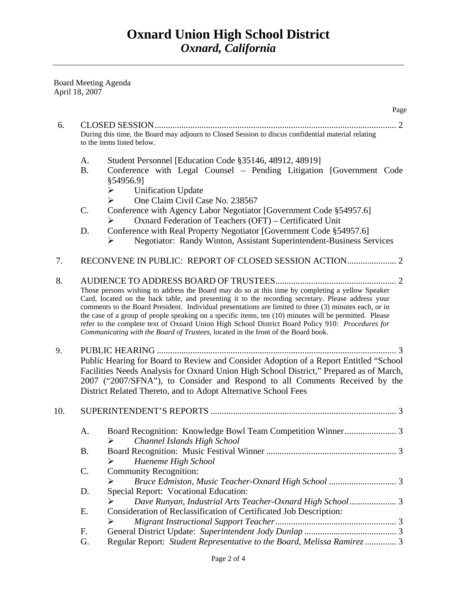Board Meeting Agenda April 18, 2007

|     |                 | Page                                                                                                                                                                                                                                                                                                                                                                                                                                                                                                                                                                                                                |
|-----|-----------------|---------------------------------------------------------------------------------------------------------------------------------------------------------------------------------------------------------------------------------------------------------------------------------------------------------------------------------------------------------------------------------------------------------------------------------------------------------------------------------------------------------------------------------------------------------------------------------------------------------------------|
| 6.  |                 | CLOSED SESSION                                                                                                                                                                                                                                                                                                                                                                                                                                                                                                                                                                                                      |
|     |                 | During this time, the Board may adjourn to Closed Session to discus confidential material relating<br>to the items listed below.                                                                                                                                                                                                                                                                                                                                                                                                                                                                                    |
|     | A.<br><b>B.</b> | Student Personnel [Education Code §35146, 48912, 48919]<br>Conference with Legal Counsel – Pending Litigation [Government Code<br>§54956.91<br><b>Unification Update</b><br>➤                                                                                                                                                                                                                                                                                                                                                                                                                                       |
|     | C.              | One Claim Civil Case No. 238567<br>➤<br>Conference with Agency Labor Negotiator [Government Code §54957.6]<br>Oxnard Federation of Teachers (OFT) – Certificated Unit<br>⋗                                                                                                                                                                                                                                                                                                                                                                                                                                          |
|     | D.              | Conference with Real Property Negotiator [Government Code §54957.6]<br><b>Negotiator: Randy Winton, Assistant Superintendent-Business Services</b><br>➤                                                                                                                                                                                                                                                                                                                                                                                                                                                             |
| 7.  |                 |                                                                                                                                                                                                                                                                                                                                                                                                                                                                                                                                                                                                                     |
| 8.  |                 | Those persons wishing to address the Board may do so at this time by completing a yellow Speaker<br>Card, located on the back table, and presenting it to the recording secretary. Please address your<br>comments to the Board President. Individual presentations are limited to three (3) minutes each, or in<br>the case of a group of people speaking on a specific items, ten (10) minutes will be permitted. Please<br>refer to the complete text of Oxnard Union High School District Board Policy 910: Procedures for<br>Communicating with the Board of Trustees, located in the front of the Board book. |
| 9.  |                 | Public Hearing for Board to Review and Consider Adoption of a Report Entitled "School<br>Facilities Needs Analysis for Oxnard Union High School District," Prepared as of March,<br>2007 ("2007/SFNA"), to Consider and Respond to all Comments Received by the<br>District Related Thereto, and to Adopt Alternative School Fees                                                                                                                                                                                                                                                                                   |
| 10. |                 |                                                                                                                                                                                                                                                                                                                                                                                                                                                                                                                                                                                                                     |
|     | А.              | $\blacktriangleright$<br>Channel Islands High School                                                                                                                                                                                                                                                                                                                                                                                                                                                                                                                                                                |
|     | <b>B.</b>       | Hueneme High School<br>➤                                                                                                                                                                                                                                                                                                                                                                                                                                                                                                                                                                                            |
|     | $\mathsf{C}$ .  | <b>Community Recognition:</b><br>➤                                                                                                                                                                                                                                                                                                                                                                                                                                                                                                                                                                                  |
|     | D.              | Special Report: Vocational Education:<br>Dave Runyan, Industrial Arts Teacher-Oxnard High School 3<br>➤                                                                                                                                                                                                                                                                                                                                                                                                                                                                                                             |
|     | Ε.              | Consideration of Reclassification of Certificated Job Description:<br>➤                                                                                                                                                                                                                                                                                                                                                                                                                                                                                                                                             |
|     | F.              |                                                                                                                                                                                                                                                                                                                                                                                                                                                                                                                                                                                                                     |
|     | G.              | Regular Report: Student Representative to the Board, Melissa Ramirez  3                                                                                                                                                                                                                                                                                                                                                                                                                                                                                                                                             |
|     |                 |                                                                                                                                                                                                                                                                                                                                                                                                                                                                                                                                                                                                                     |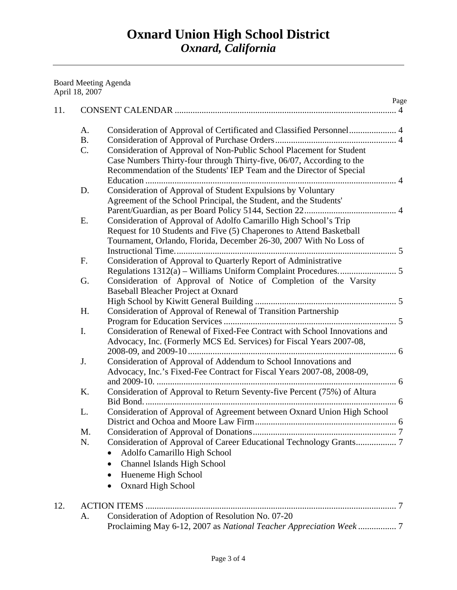## Board Meeting Agenda April 18, 2007

| A.        | Consideration of Approval of Certificated and Classified Personnel 4                                                                      |
|-----------|-------------------------------------------------------------------------------------------------------------------------------------------|
| <b>B.</b> |                                                                                                                                           |
| C.        | Consideration of Approval of Non-Public School Placement for Student                                                                      |
|           | Case Numbers Thirty-four through Thirty-five, 06/07, According to the                                                                     |
|           | Recommendation of the Students' IEP Team and the Director of Special                                                                      |
|           |                                                                                                                                           |
| D.        | Consideration of Approval of Student Expulsions by Voluntary                                                                              |
|           | Agreement of the School Principal, the Student, and the Students'                                                                         |
|           |                                                                                                                                           |
| E.        | Consideration of Approval of Adolfo Camarillo High School's Trip                                                                          |
|           | Request for 10 Students and Five (5) Chaperones to Attend Basketball                                                                      |
|           | Tournament, Orlando, Florida, December 26-30, 2007 With No Loss of                                                                        |
|           |                                                                                                                                           |
| F.        | Consideration of Approval to Quarterly Report of Administrative                                                                           |
|           |                                                                                                                                           |
| G.        | Consideration of Approval of Notice of Completion of the Varsity                                                                          |
|           | Baseball Bleacher Project at Oxnard                                                                                                       |
|           |                                                                                                                                           |
| H.        | Consideration of Approval of Renewal of Transition Partnership                                                                            |
|           |                                                                                                                                           |
| I.        | Consideration of Renewal of Fixed-Fee Contract with School Innovations and                                                                |
|           | Advocacy, Inc. (Formerly MCS Ed. Services) for Fiscal Years 2007-08,                                                                      |
| J.        |                                                                                                                                           |
|           | Consideration of Approval of Addendum to School Innovations and<br>Advocacy, Inc.'s Fixed-Fee Contract for Fiscal Years 2007-08, 2008-09, |
|           |                                                                                                                                           |
| K.        | Consideration of Approval to Return Seventy-five Percent (75%) of Altura                                                                  |
|           |                                                                                                                                           |
| L.        | Consideration of Approval of Agreement between Oxnard Union High School                                                                   |
|           |                                                                                                                                           |
| M.        |                                                                                                                                           |
| N.        |                                                                                                                                           |
|           | Adolfo Camarillo High School                                                                                                              |
|           | Channel Islands High School<br>٠                                                                                                          |
|           | Hueneme High School<br>$\bullet$                                                                                                          |
|           | <b>Oxnard High School</b>                                                                                                                 |
|           |                                                                                                                                           |
|           |                                                                                                                                           |
| A.        | Consideration of Adoption of Resolution No. 07-20                                                                                         |
|           |                                                                                                                                           |